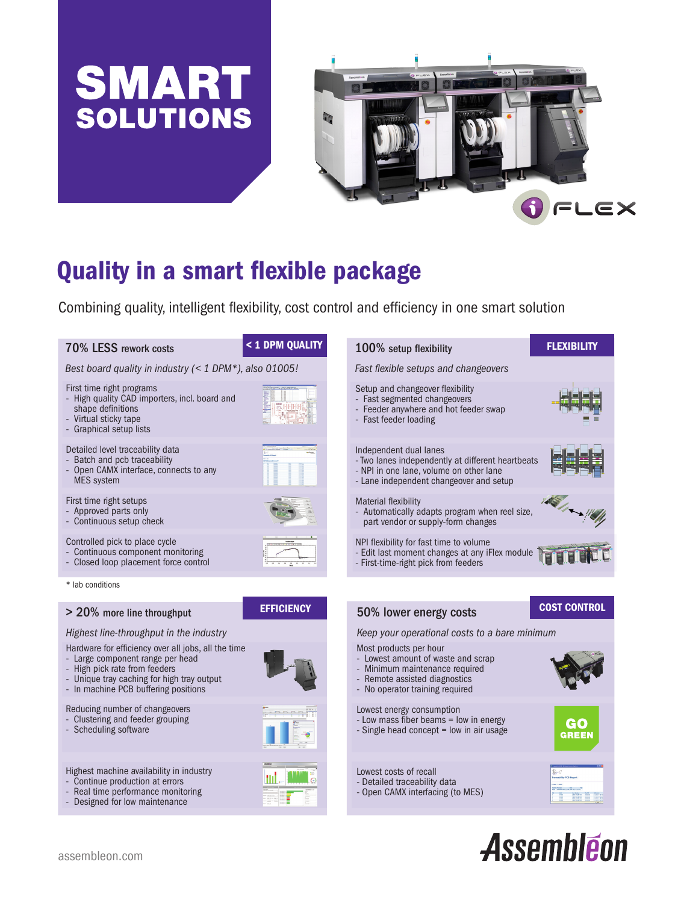



# Quality in a smart flexible package

Combining quality, intelligent flexibility, cost control and efficiency in one smart solution



# Assembléon